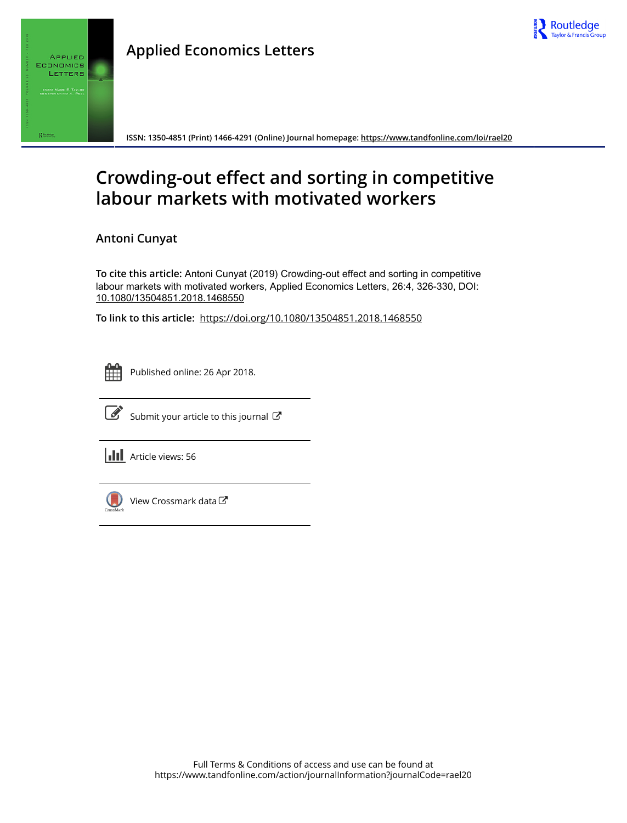

# **Applied Economics Letters**



**ISSN: 1350-4851 (Print) 1466-4291 (Online) Journal homepage:<https://www.tandfonline.com/loi/rael20>**

# **Crowding-out effect and sorting in competitive labour markets with motivated workers**

**Antoni Cunyat**

**To cite this article:** Antoni Cunyat (2019) Crowding-out effect and sorting in competitive labour markets with motivated workers, Applied Economics Letters, 26:4, 326-330, DOI: [10.1080/13504851.2018.1468550](https://www.tandfonline.com/action/showCitFormats?doi=10.1080/13504851.2018.1468550)

**To link to this article:** <https://doi.org/10.1080/13504851.2018.1468550>

|  | - |  |
|--|---|--|
|  |   |  |
|  |   |  |
|  |   |  |

Published online: 26 Apr 2018.



 $\overrightarrow{S}$  [Submit your article to this journal](https://www.tandfonline.com/action/authorSubmission?journalCode=rael20&show=instructions)  $\overrightarrow{S}$ 

**III** Article views: 56



[View Crossmark data](http://crossmark.crossref.org/dialog/?doi=10.1080/13504851.2018.1468550&domain=pdf&date_stamp=2018-04-26)<sup>で</sup>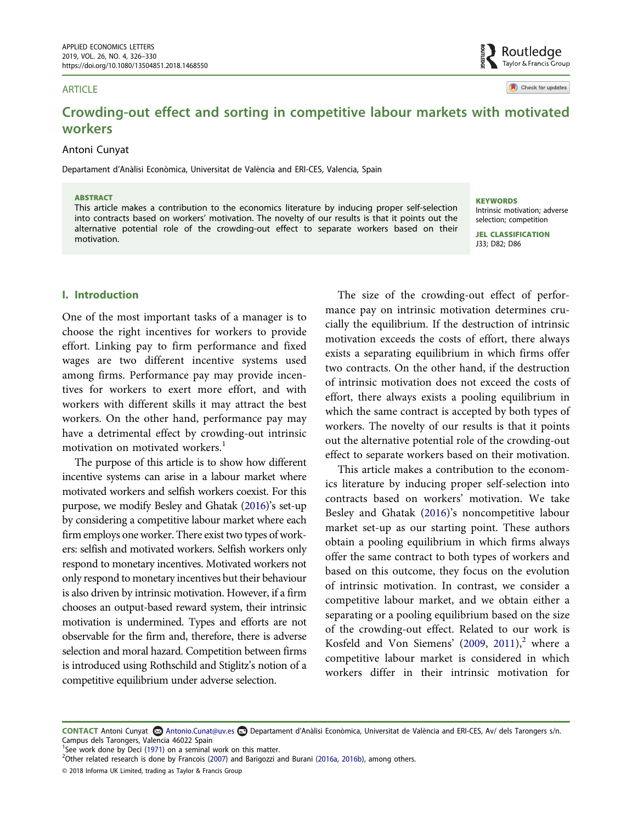#### ARTICLE

Check for updates

Routledge Taylor & Francis Group

# Crowding-out effect and sorting in competitive labour markets with motivated workers

### Antoni Cunyat

Departament d'Anàlisi Econòmica, Universitat de València and ERI-CES, Valencia, Spain

#### **ARSTRACT**

This article makes a contribution to the economics literature by inducing proper self-selection into contracts based on workers' motivation. The novelty of our results is that it points out the alternative potential role of the crowding-out effect to separate workers based on their motivation.

**KEYWORDS** Intrinsic motivation; adverse selection; competition

JEL CLASSIFICATION J33; D82; D86

# I. Introduction

One of the most important tasks of a manager is to choose the right incentives for workers to provide effort. Linking pay to firm performance and fixed wages are two different incentive systems used among firms. Performance pay may provide incentives for workers to exert more effort, and with workers with different skills it may attract the best workers. On the other hand, performance pay may have a detrimental effect by crowding-out intrinsic motivation on motivated workers.<sup>[1](#page-1-0)</sup>

The purpose of this article is to show how different incentive systems can arise in a labour market where motivated workers and selfish workers coexist. For this purpose, we modify Besley and Ghatak [\(2016](#page-4-0))'s set-up by considering a competitive labour market where each firm employs one worker. There exist two types of workers: selfish and motivated workers. Selfish workers only respond to monetary incentives. Motivated workers not only respond to monetary incentives but their behaviour is also driven by intrinsic motivation. However, if a firm chooses an output-based reward system, their intrinsic motivation is undermined. Types and efforts are not observable for the firm and, therefore, there is adverse selection and moral hazard. Competition between firms is introduced using Rothschild and Stiglitz's notion of a competitive equilibrium under adverse selection.

The size of the crowding-out effect of performance pay on intrinsic motivation determines crucially the equilibrium. If the destruction of intrinsic motivation exceeds the costs of effort, there always exists a separating equilibrium in which firms offer two contracts. On the other hand, if the destruction of intrinsic motivation does not exceed the costs of effort, there always exists a pooling equilibrium in which the same contract is accepted by both types of workers. The novelty of our results is that it points out the alternative potential role of the crowding-out effect to separate workers based on their motivation.

<span id="page-1-3"></span><span id="page-1-2"></span>This article makes a contribution to the economics literature by inducing proper self-selection into contracts based on workers' motivation. We take Besley and Ghatak [\(2016\)](#page-4-0)'s noncompetitive labour market set-up as our starting point. These authors obtain a pooling equilibrium in which firms always offer the same contract to both types of workers and based on this outcome, they focus on the evolution of intrinsic motivation. In contrast, we consider a competitive labour market, and we obtain either a separating or a pooling equilibrium based on the size of the crowding-out effect. Related to our work is Kosfeld and Von Siemens'  $(2009, 2011)<sup>2</sup>$  $(2009, 2011)<sup>2</sup>$  $(2009, 2011)<sup>2</sup>$  $(2009, 2011)<sup>2</sup>$  $(2009, 2011)<sup>2</sup>$  $(2009, 2011)<sup>2</sup>$  where a competitive labour market is considered in which workers differ in their intrinsic motivation for

CONTACT Antoni Cunyat **Antonio.Cunat@uv.es Departament d'Anàlisi Econòmica**, Universitat de València and ERI-CES, Av/ dels Tarongers s/n. Campus dels Tarongers, Valencia 46022 Spain

<span id="page-1-0"></span><sup>&</sup>lt;sup>1</sup>See work done by Deci ([1971\)](#page-4-3) on a seminal work on this matter.

<span id="page-1-1"></span> $^{2}$ Other related research is done by Francois ([2007\)](#page-4-4) and Barigozzi and Burani ([2016a](#page-4-5), [2016b](#page-4-6)), among others.

<sup>© 2018</sup> Informa UK Limited, trading as Taylor & Francis Group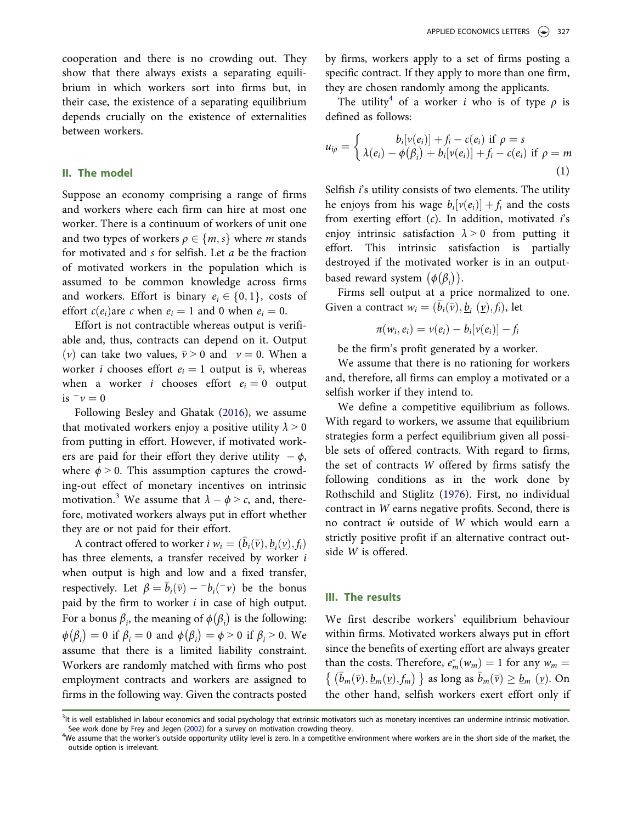cooperation and there is no crowding out. They show that there always exists a separating equilibrium in which workers sort into firms but, in their case, the existence of a separating equilibrium depends crucially on the existence of externalities between workers.

#### II. The model

Suppose an economy comprising a range of firms and workers where each firm can hire at most one worker. There is a continuum of workers of unit one and two types of workers  $\rho \in \{m, s\}$  where m stands for motivated and s for selfish. Let a be the fraction of motivated workers in the population which is assumed to be common knowledge across firms and workers. Effort is binary  $e_i \in \{0, 1\}$ , costs of effort  $c(e_i)$ are c when  $e_i = 1$  and 0 when  $e_i = 0$ .

Effort is not contractible whereas output is verifiable and, thus, contracts can depend on it. Output (v) can take two values,  $\bar{v} > 0$  and  $-v = 0$ . When a vertex *i* chooses effort  $v = 1$  output is  $\bar{v}$  whereous worker *i* chooses effort  $e_i = 1$  output is  $\overline{v}$ , whereas when a worker *i* chooses effort  $e_i = 0$  output is  $\bar{v} = 0$ <br>Follow

Following Besley and Ghatak ([2016\)](#page-4-0), we assume that motivated workers enjoy a positive utility  $\lambda > 0$ from putting in effort. However, if motivated workers are paid for their effort they derive utility  $-\phi$ ,<br>where  $\phi > 0$ . This assumption captures the crowd where  $\phi > 0$ . This assumption captures the crowding-out effect of monetary incentives on intrinsic motivation.<sup>[3](#page-2-0)</sup> We assume that  $\lambda - \phi > c$ , and, there-<br>fore motivated vertexe always put in effort whether fore, motivated workers always put in effort whether they are or not paid for their effort.

A contract offered to worker  $i w_i = (\bar{b}_i(\bar{v}), \underline{b}_i(\underline{v}), f_i)$ has three elements, a transfer received by worker i when output is high and low and a fixed transfer, respectively. Let  $\beta = \bar{b}_i(\bar{v}) - b_i(-v)$  be the bonus<br>paid by the firm to worker i in case of bigh output paid by the firm to worker  $i$  in case of high output. For a bonus  $\beta_i$ , the meaning of  $\phi(\beta_i)$  is the following:  $\phi(\beta_i) = 0$  if  $\beta_i = 0$  and  $\phi(\beta_i) = \phi > 0$  if  $\beta_i > 0$ . We assume that there is a limited liability constraint. Workers are randomly matched with firms who post employment contracts and workers are assigned to firms in the following way. Given the contracts posted by firms, workers apply to a set of firms posting a specific contract. If they apply to more than one firm, they are chosen randomly among the applicants.

The utility<sup>[4](#page-2-1)</sup> of a worker *i* who is of type  $\rho$  is defined as follows:

$$
u_{i\rho} = \begin{cases} b_i[v(e_i)] + f_i - c(e_i) & \text{if } \rho = s \\ \lambda(e_i) - \phi(\beta_i) + b_i[v(e_i)] + f_i - c(e_i) & \text{if } \rho = m \end{cases}
$$
(1)

Selfish  $i$ 's utility consists of two elements. The utility he enjoys from his wage  $b_i[v(e_i)] + f_i$  and the costs from exerting effort  $(c)$ . In addition, motivated i's enjoy intrinsic satisfaction  $\lambda > 0$  from putting it effort. This intrinsic satisfaction is partially destroyed if the motivated worker is in an outputbased reward system  $(\phi(\beta_i))$ .

Firms sell output at a price normalized to one. Given a contract  $w_i = (\bar{b}_i(\bar{v}), b_i(v), f_i)$ , let

$$
\pi(w_i,e_i)=v(e_i)-b_i[v(e_i)]-f_i
$$

be the firm's profit generated by a worker.

We assume that there is no rationing for workers and, therefore, all firms can employ a motivated or a selfish worker if they intend to.

<span id="page-2-3"></span>We define a competitive equilibrium as follows. With regard to workers, we assume that equilibrium strategies form a perfect equilibrium given all possible sets of offered contracts. With regard to firms, the set of contracts W offered by firms satisfy the following conditions as in the work done by Rothschild and Stiglitz [\(1976\)](#page-4-7). First, no individual contract in W earns negative profits. Second, there is no contract  $\hat{w}$  outside of W which would earn a strictly positive profit if an alternative contract outside W is offered.

#### III. The results

We first describe workers' equilibrium behaviour within firms. Motivated workers always put in effort since the benefits of exerting effort are always greater than the costs. Therefore,  $e_m^*(w_m) = 1$  for any  $w_m =$  $\{ (\bar{b}_m(\bar{v}), \underline{b}_m(\underline{v}), f_m) \}$  as long as  $\bar{b}_m(\bar{v}) \geq \underline{b}_m(\underline{v})$ . On the other hand, selfish workers exert effort only if

<span id="page-2-2"></span><span id="page-2-0"></span><sup>&</sup>lt;sup>3</sup>It is well established in labour economics and social psychology that extrinsic motivators such as monetary incentives can undermine intrinsic motivation. See work done by Frey and Jegen ([2002\)](#page-4-8) for a survey on motivation crowding theory.

<span id="page-2-1"></span><sup>&</sup>lt;sup>4</sup>We assume that the worker's outside opportunity utility level is zero. In a competitive environment where workers are in the short side of the market, the outside option is irrelevant.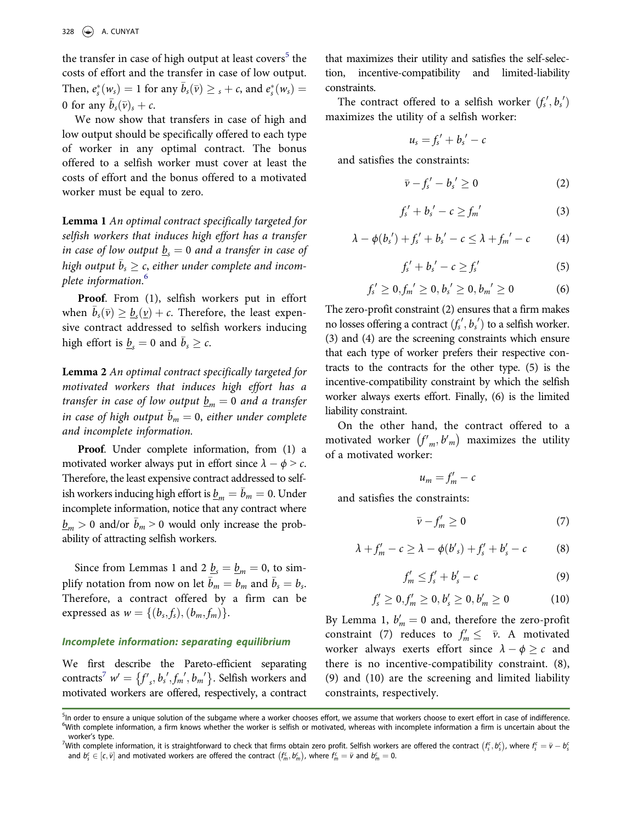the transfer in case of high output at least covers<sup>[5](#page-3-0)</sup> the costs of effort and the transfer in case of low output. Then,  $e_s^*(w_s) = 1$  for any  $\bar{b}_s(\bar{v}) \geq s + c$ , and  $e_s^*(w_s) = 0$ 0 for any  $b_s(\bar{v})_s + c$ .

We now show that transfers in case of high and low output should be specifically offered to each type of worker in any optimal contract. The bonus offered to a selfish worker must cover at least the costs of effort and the bonus offered to a motivated worker must be equal to zero.

Lemma 1 An optimal contract specifically targeted for selfish workers that induces high effort has a transfer in case of low output  $\underline{b}_s = 0$  and a transfer in case of high output  $b_s \geq c$ , either under complete and incomplete information. [6](#page-3-1)

Proof. From (1), selfish workers put in effort when  $\bar{b}_s(\bar{v}) \geq b_s(v) + c$ . Therefore, the least expensive contract addressed to selfish workers inducing high effort is  $\underline{b}_s = 0$  and  $\overline{b}_s \ge c$ .

Lemma 2 An optimal contract specifically targeted for motivated workers that induces high effort has a transfer in case of low output  $\underline{b}_m = 0$  and a transfer in case of high output  $\bar{b}_m = 0$ , either under complete and incomplete information.

Proof. Under complete information, from (1) a motivated worker always put in effort since  $\lambda - \phi > c$ .<br>Therefore the least expensive contract addressed to self. Therefore, the least expensive contract addressed to selfish workers inducing high effort is  $\underline{b}_m = \overline{b}_m = 0$ . Under incomplete information, notice that any contract where  $\underline{b}_m > 0$  and/or  $\overline{b}_m > 0$  would only increase the probability of attracting selfish workers.

Since from Lemmas 1 and 2  $\underline{b}_s = \underline{b}_m = 0$ , to simplify notation from now on let  $\bar{b}_m = b_m$  and  $\bar{b}_s = b_s$ . Therefore, a contract offered by a firm can be expressed as  $w = \{(b_s, f_s), (b_m, f_m)\}.$ 

### Incomplete information: separating equilibrium

We first describe the Pareto-efficient separating contracts<sup>[7](#page-3-2)</sup>  $w' = \{f'_s, b'_s, f'_m, b'_m\}$ . Selfish workers and motivated workers are offered, respectively, a contract that maximizes their utility and satisfies the self-selection, incentive-compatibility and limited-liability constraints.

The contract offered to a selfish worker  $(f'_s, b'_s)$ <br>vimizes the utility of a selfish worker: maximizes the utility of a selfish worker:

$$
u_s = f'_s + b'_s - c
$$

and satisfies the constraints:

$$
\bar{v} - f'_s - b'_s \ge 0 \tag{2}
$$

$$
f'_s + b'_s - c \ge f_m'
$$
 (3)

$$
\lambda - \phi(b'_s') + f'_s' + b'_s - c \leq \lambda + f'_m' - c \tag{4}
$$

$$
f'_s + b'_s - c \ge f'_s \tag{5}
$$

$$
f'_s \ge 0, f'_m \ge 0, b'_s \ge 0, b'_m \ge 0 \tag{6}
$$

The zero-profit constraint (2) ensures that a firm makes no losses offering a contract  $(f_s', b_s')$  to a selfish worker.<br>(3) and (4) are the screening constraints which ensure (3) and (4) are the screening constraints which ensure that each type of worker prefers their respective contracts to the contracts for the other type. (5) is the incentive-compatibility constraint by which the selfish worker always exerts effort. Finally, (6) is the limited liability constraint.

On the other hand, the contract offered to a motivated worker  $(f'_m, b'_m)$  maximizes the utility of a motivated worker:

$$
u_m=f'_m-c
$$

and satisfies the constraints:

$$
\bar{\nu} - f'_m \ge 0 \tag{7}
$$

$$
\lambda + f'_m - c \ge \lambda - \phi(b'_s) + f'_s + b'_s - c \tag{8}
$$

$$
f'_m \leq f'_s + b'_s - c \tag{9}
$$

$$
f'_{s} \ge 0, f'_{m} \ge 0, b'_{s} \ge 0, b'_{m} \ge 0 \tag{10}
$$

By Lemma 1,  $b'_m = 0$  and, therefore the zero-profit constraint (7) reduces to  $f' \leq \bar{x}$ . A mativated constraint (7) reduces to  $f'_m \leq \bar{\nu}$ . A motivated<br>worker elymps exerts effort since  $\lambda \to \epsilon$  and worker always exerts effort since  $\lambda - \phi \geq c$  and<br>there is no incentive compatibility constraint (8) there is no incentive-compatibility constraint. (8), (9) and (10) are the screening and limited liability constraints, respectively.

<span id="page-3-1"></span><span id="page-3-0"></span><sup>&</sup>lt;sup>5</sup>In order to ensure a unique solution of the subgame where a worker chooses effort, we assume that workers choose to exert effort in case of indifference. <sup>6</sup>With complete information, a firm knows whether the worker is selfish or motivated, whereas with incomplete information a firm is uncertain about the

<span id="page-3-2"></span>worker's type.<br><sup>7</sup>With complete information, it is straightforward to check that firms obtain zero profit. Selfish workers are offered the contract  $(f_5^c, b_5^c)$ , where  $f_5^c = \bar{v} - b_5^c$ <br>and  $b_5^c \in [\bar{v}]$  and motivate and  $b_s \in [\epsilon, \bar{v}]$  and motivated workers are offered the contract  $(f_m^c, b_m^c)$ , where  $f_m^c = \bar{v}$  and  $b_m^c = 0$ .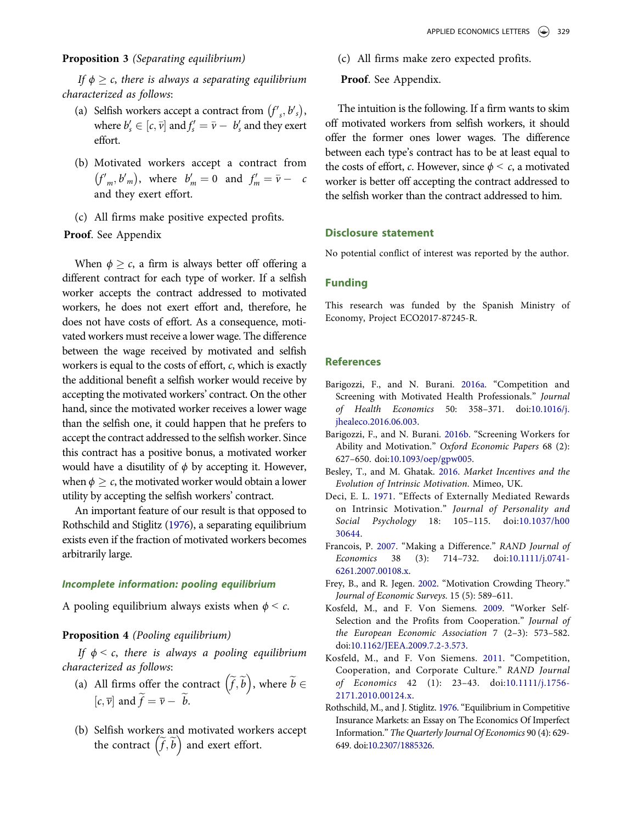#### Proposition 3 (Separating equilibrium)

If  $\phi \geq c$ , there is always a separating equilibrium characterized as follows:

- (a) Selfish workers accept a contract from  $(f'_{s}, b'_{s})$ , where  $b'_s \in [c, \overline{v}]$  and  $f'_s = \overline{v} - b'_s$  and they exert of fort effort.
- (b) Motivated workers accept a contract from  $(f'_m, b'_m)$ , where  $b'_m = 0$  and  $f'_m = \overline{v} - c$ and they exert effort.
- (c) All firms make positive expected profits.

### Proof. See Appendix

When  $\phi \geq c$ , a firm is always better off offering a different contract for each type of worker. If a selfish worker accepts the contract addressed to motivated workers, he does not exert effort and, therefore, he does not have costs of effort. As a consequence, motivated workers must receive a lower wage. The difference between the wage received by motivated and selfish workers is equal to the costs of effort, c, which is exactly the additional benefit a selfish worker would receive by accepting the motivated workers' contract. On the other hand, since the motivated worker receives a lower wage than the selfish one, it could happen that he prefers to accept the contract addressed to the selfish worker. Since this contract has a positive bonus, a motivated worker would have a disutility of  $\phi$  by accepting it. However, when  $\phi \geq c$ , the motivated worker would obtain a lower utility by accepting the selfish workers' contract.

An important feature of our result is that opposed to Rothschild and Stiglitz ([1976\)](#page-4-7), a separating equilibrium exists even if the fraction of motivated workers becomes arbitrarily large.

#### Incomplete information: pooling equilibrium

A pooling equilibrium always exists when  $\phi < c$ .

## Proposition 4 (Pooling equilibrium)

If  $\phi < c$ , there is always a pooling equilibrium characterized as follows:

- (a) All firms offer the contract  $(\widetilde{f}, \widetilde{b})$ , where  $\widetilde{b} \in \widetilde{b}$  $[c, \overline{v}]$  and  $f = \overline{v} - b$ .
- (b) Selfish workers and motivated workers accept the contract  $(\tilde{f}, \tilde{b})$  and exert effort.
- (c) All firms make zero expected profits.
- Proof. See Appendix.

The intuition is the following. If a firm wants to skim off motivated workers from selfish workers, it should offer the former ones lower wages. The difference between each type's contract has to be at least equal to the costs of effort, c. However, since  $\phi < c$ , a motivated worker is better off accepting the contract addressed to the selfish worker than the contract addressed to him.

#### Disclosure statement

No potential conflict of interest was reported by the author.

### Funding

This research was funded by the Spanish Ministry of Economy, Project ECO2017-87245-R.

#### **References**

- <span id="page-4-5"></span>Barigozzi, F., and N. Burani. [2016a](#page-1-1). "Competition and Screening with Motivated Health Professionals." Journal of Health Economics 50: 358–371. doi[:10.1016/j.](https://doi.org/10.1016/j.jhealeco.2016.06.003) [jhealeco.2016.06.003](https://doi.org/10.1016/j.jhealeco.2016.06.003).
- <span id="page-4-6"></span>Barigozzi, F., and N. Burani. [2016b.](#page-1-1) "Screening Workers for Ability and Motivation." Oxford Economic Papers 68 (2): 627–650. doi:[10.1093/oep/gpw005](https://doi.org/10.1093/oep/gpw005).
- <span id="page-4-0"></span>Besley, T., and M. Ghatak. [2016](#page-1-2). Market Incentives and the Evolution of Intrinsic Motivation. Mimeo, UK.
- <span id="page-4-3"></span>Deci, E. L. [1971](#page-1-0). "Effects of Externally Mediated Rewards on Intrinsic Motivation." Journal of Personality and Social Psychology 18: 105–115. doi:[10.1037/h00](https://doi.org/10.1037/h0030644) [30644](https://doi.org/10.1037/h0030644).
- <span id="page-4-4"></span>Francois, P. [2007.](#page-1-1) "Making a Difference." RAND Journal of Economics 38 (3): 714–732. doi:[10.1111/j.0741-](https://doi.org/10.1111/j.0741-6261.2007.00108.x) [6261.2007.00108.x](https://doi.org/10.1111/j.0741-6261.2007.00108.x).
- <span id="page-4-8"></span>Frey, B., and R. Jegen. [2002](#page-2-2). "Motivation Crowding Theory." Journal of Economic Surveys. 15 (5): 589–611.
- <span id="page-4-1"></span>Kosfeld, M., and F. Von Siemens. [2009](#page-1-3). "Worker Self-Selection and the Profits from Cooperation." Journal of the European Economic Association 7 (2–3): 573–582. doi[:10.1162/JEEA.2009.7.2-3.573](https://doi.org/10.1162/JEEA.2009.7.2-3.573).
- <span id="page-4-2"></span>Kosfeld, M., and F. Von Siemens. [2011.](#page-1-3) "Competition, Cooperation, and Corporate Culture." RAND Journal of Economics 42 (1): 23–43. doi:[10.1111/j.1756-](https://doi.org/10.1111/j.1756-2171.2010.00124.x) [2171.2010.00124.x](https://doi.org/10.1111/j.1756-2171.2010.00124.x).
- <span id="page-4-7"></span>Rothschild, M., and J. Stiglitz. [1976.](#page-2-3) "Equilibrium in Competitive Insurance Markets: an Essay on The Economics Of Imperfect Information." The Quarterly Journal Of Economics 90 (4): 629- 649. doi[:10.2307/1885326.](https://doi.org/10.2307/1885326)